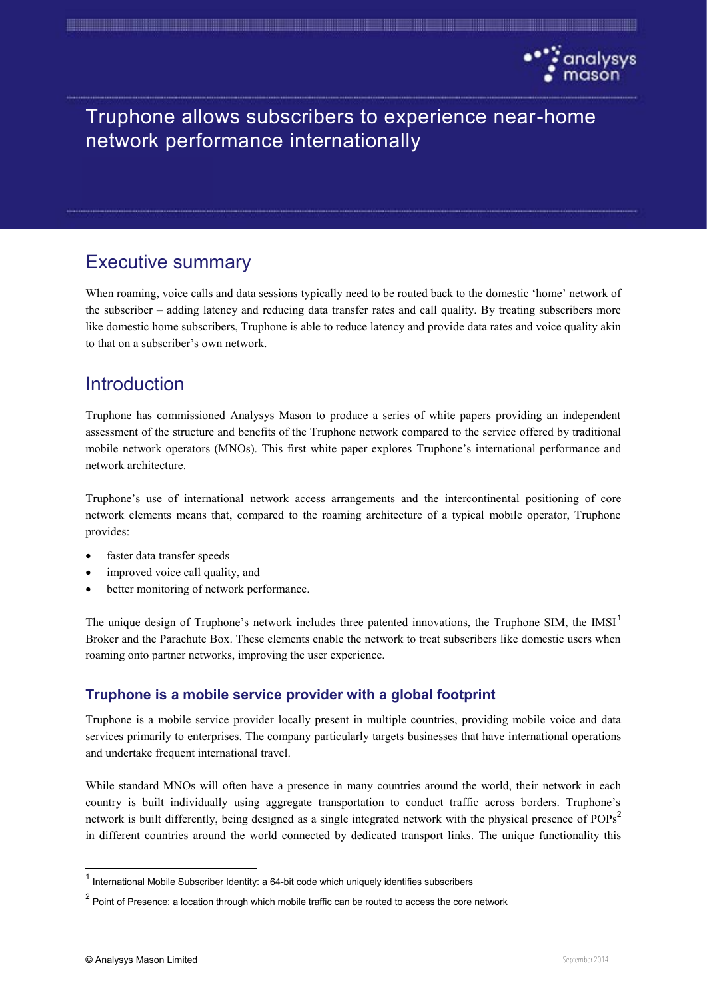

# Truphone allows subscribers to experience near-home network performance internationally

and the contract of the contract of the contract of the contract of the contract of the contract of the contract of

# Executive summary

When roaming, voice calls and data sessions typically need to be routed back to the domestic 'home' network of the subscriber – adding latency and reducing data transfer rates and call quality. By treating subscribers more like domestic home subscribers, Truphone is able to reduce latency and provide data rates and voice quality akin to that on a subscriber's own network.

# **Introduction**

Truphone has commissioned Analysys Mason to produce a series of white papers providing an independent assessment of the structure and benefits of the Truphone network compared to the service offered by traditional mobile network operators (MNOs). This first white paper explores Truphone's international performance and network architecture.

Truphone's use of international network access arrangements and the intercontinental positioning of core network elements means that, compared to the roaming architecture of a typical mobile operator, Truphone provides:

- faster data transfer speeds
- improved voice call quality, and
- better monitoring of network performance.

The unique design of Truphone's network includes three patented innovations, the Truphone SIM, the IMSI<sup>1</sup> Broker and the Parachute Box. These elements enable the network to treat subscribers like domestic users when roaming onto partner networks, improving the user experience.

## **Truphone is a mobile service provider with a global footprint**

Truphone is a mobile service provider locally present in multiple countries, providing mobile voice and data services primarily to enterprises. The company particularly targets businesses that have international operations and undertake frequent international travel.

While standard MNOs will often have a presence in many countries around the world, their network in each country is built individually using aggregate transportation to conduct traffic across borders. Truphone's network is built differently, being designed as a single integrated network with the physical presence of POPs<sup>2</sup> in different countries around the world connected by dedicated transport links. The unique functionality this

 $1$  International Mobile Subscriber Identity: a 64-bit code which uniquely identifies subscribers

 $2$  Point of Presence: a location through which mobile traffic can be routed to access the core network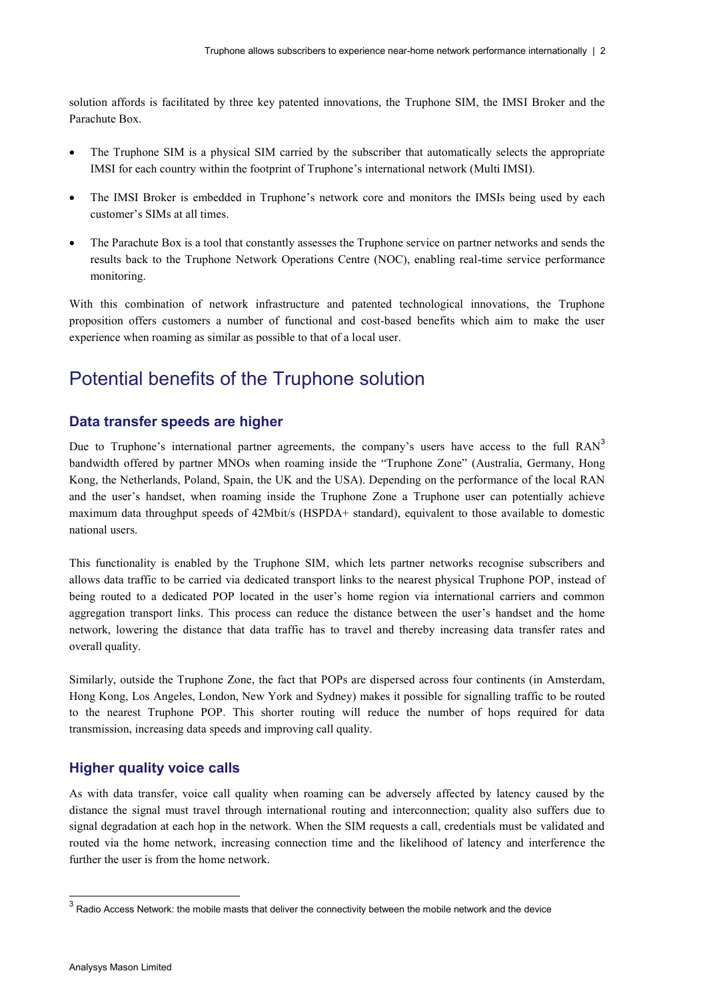solution affords is facilitated by three key patented innovations, the Truphone SIM, the IMSI Broker and the Parachute Box.

- The Truphone SIM is a physical SIM carried by the subscriber that automatically selects the appropriate IMSI for each country within the footprint of Truphone's international network (Multi IMSI).
- The IMSI Broker is embedded in Truphone's network core and monitors the IMSIs being used by each customer's SIMs at all times.
- The Parachute Box is a tool that constantly assesses the Truphone service on partner networks and sends the results back to the Truphone Network Operations Centre (NOC), enabling real-time service performance monitoring.

With this combination of network infrastructure and patented technological innovations, the Truphone proposition offers customers a number of functional and cost-based benefits which aim to make the user experience when roaming as similar as possible to that of a local user.

## Potential benefits of the Truphone solution

#### **Data transfer speeds are higher**

Due to Truphone's international partner agreements, the company's users have access to the full RAN<sup>3</sup> bandwidth offered by partner MNOs when roaming inside the "Truphone Zone" (Australia, Germany, Hong Kong, the Netherlands, Poland, Spain, the UK and the USA). Depending on the performance of the local RAN and the user's handset, when roaming inside the Truphone Zone a Truphone user can potentially achieve maximum data throughput speeds of 42Mbit/s (HSPDA+ standard), equivalent to those available to domestic national users.

This functionality is enabled by the Truphone SIM, which lets partner networks recognise subscribers and allows data traffic to be carried via dedicated transport links to the nearest physical Truphone POP, instead of being routed to a dedicated POP located in the user's home region via international carriers and common aggregation transport links. This process can reduce the distance between the user's handset and the home network, lowering the distance that data traffic has to travel and thereby increasing data transfer rates and overall quality.

Similarly, outside the Truphone Zone, the fact that POPs are dispersed across four continents (in Amsterdam, Hong Kong, Los Angeles, London, New York and Sydney) makes it possible for signalling traffic to be routed to the nearest Truphone POP. This shorter routing will reduce the number of hops required for data transmission, increasing data speeds and improving call quality.

#### **Higher quality voice calls**

As with data transfer, voice call quality when roaming can be adversely affected by latency caused by the distance the signal must travel through international routing and interconnection; quality also suffers due to signal degradation at each hop in the network. When the SIM requests a call, credentials must be validated and routed via the home network, increasing connection time and the likelihood of latency and interference the further the user is from the home network.

 $3$  Radio Access Network: the mobile masts that deliver the connectivity between the mobile network and the device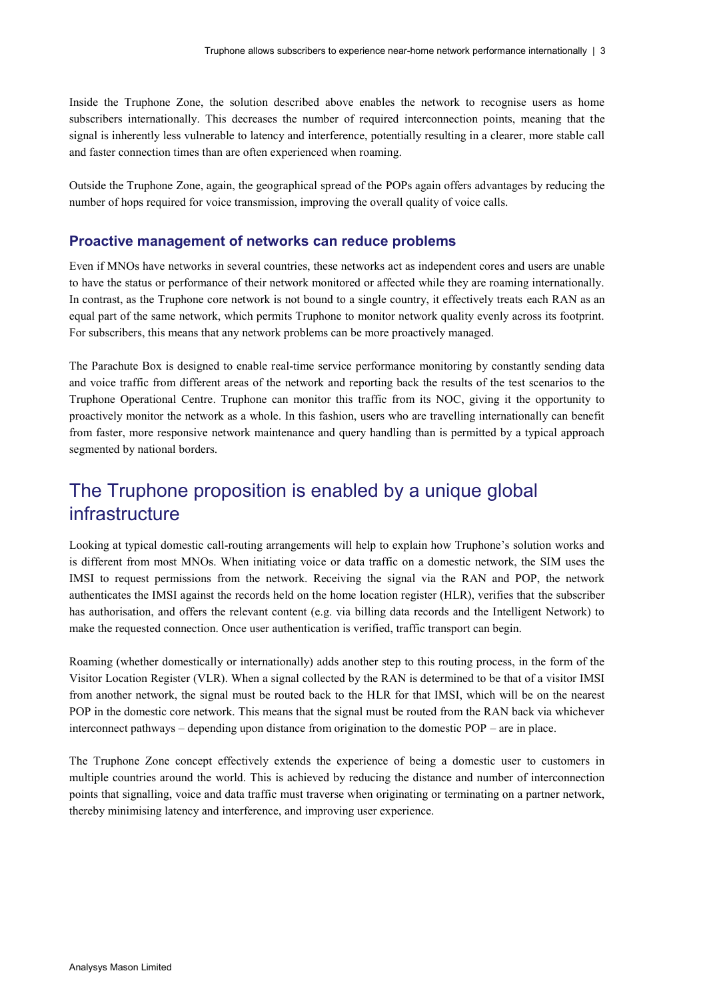Inside the Truphone Zone, the solution described above enables the network to recognise users as home subscribers internationally. This decreases the number of required interconnection points, meaning that the signal is inherently less vulnerable to latency and interference, potentially resulting in a clearer, more stable call and faster connection times than are often experienced when roaming.

Outside the Truphone Zone, again, the geographical spread of the POPs again offers advantages by reducing the number of hops required for voice transmission, improving the overall quality of voice calls.

#### **Proactive management of networks can reduce problems**

Even if MNOs have networks in several countries, these networks act as independent cores and users are unable to have the status or performance of their network monitored or affected while they are roaming internationally. In contrast, as the Truphone core network is not bound to a single country, it effectively treats each RAN as an equal part of the same network, which permits Truphone to monitor network quality evenly across its footprint. For subscribers, this means that any network problems can be more proactively managed.

The Parachute Box is designed to enable real-time service performance monitoring by constantly sending data and voice traffic from different areas of the network and reporting back the results of the test scenarios to the Truphone Operational Centre. Truphone can monitor this traffic from its NOC, giving it the opportunity to proactively monitor the network as a whole. In this fashion, users who are travelling internationally can benefit from faster, more responsive network maintenance and query handling than is permitted by a typical approach segmented by national borders.

# The Truphone proposition is enabled by a unique global infrastructure

Looking at typical domestic call-routing arrangements will help to explain how Truphone's solution works and is different from most MNOs. When initiating voice or data traffic on a domestic network, the SIM uses the IMSI to request permissions from the network. Receiving the signal via the RAN and POP, the network authenticates the IMSI against the records held on the home location register (HLR), verifies that the subscriber has authorisation, and offers the relevant content (e.g. via billing data records and the Intelligent Network) to make the requested connection. Once user authentication is verified, traffic transport can begin.

Roaming (whether domestically or internationally) adds another step to this routing process, in the form of the Visitor Location Register (VLR). When a signal collected by the RAN is determined to be that of a visitor IMSI from another network, the signal must be routed back to the HLR for that IMSI, which will be on the nearest POP in the domestic core network. This means that the signal must be routed from the RAN back via whichever interconnect pathways – depending upon distance from origination to the domestic POP – are in place.

The Truphone Zone concept effectively extends the experience of being a domestic user to customers in multiple countries around the world. This is achieved by reducing the distance and number of interconnection points that signalling, voice and data traffic must traverse when originating or terminating on a partner network, thereby minimising latency and interference, and improving user experience.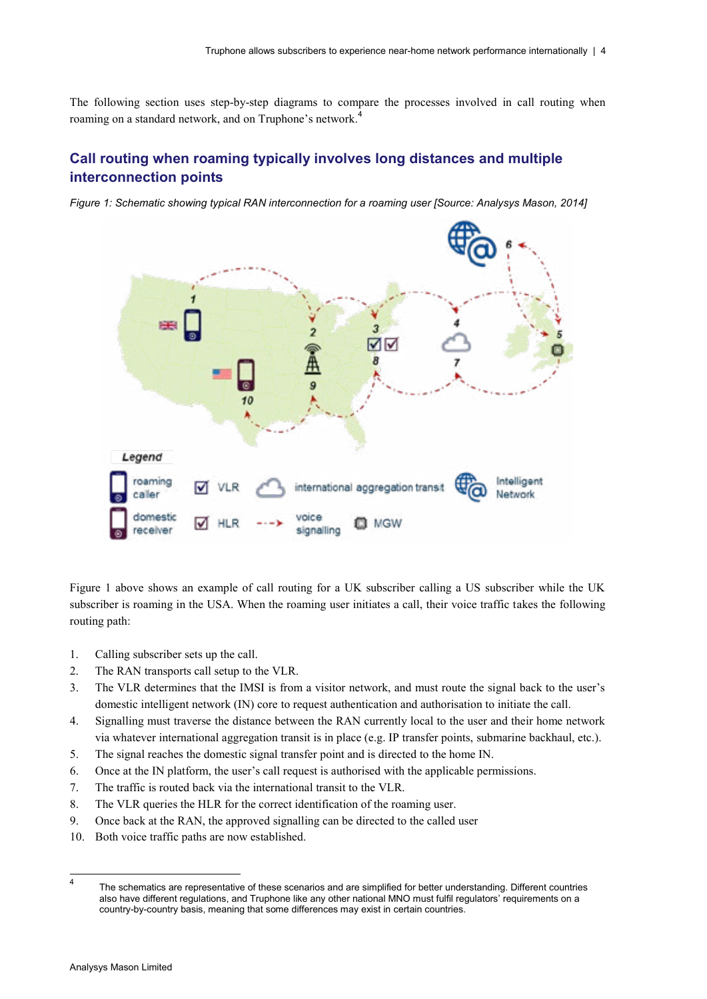The following section uses step-by-step diagrams to compare the processes involved in call routing when roaming on a standard network, and on Truphone's network.<sup>4</sup>

## **Call routing when roaming typically involves long distances and multiple interconnection points**

*Figure 1: Schematic showing typical RAN interconnection for a roaming user [Source: Analysys Mason, 2014]* 



Figure 1 above shows an example of call routing for a UK subscriber calling a US subscriber while the UK subscriber is roaming in the USA. When the roaming user initiates a call, their voice traffic takes the following routing path:

- 1. Calling subscriber sets up the call.
- 2. The RAN transports call setup to the VLR.
- 3. The VLR determines that the IMSI is from a visitor network, and must route the signal back to the user's domestic intelligent network (IN) core to request authentication and authorisation to initiate the call.
- 4. Signalling must traverse the distance between the RAN currently local to the user and their home network via whatever international aggregation transit is in place (e.g. IP transfer points, submarine backhaul, etc.).
- 5. The signal reaches the domestic signal transfer point and is directed to the home IN.
- 6. Once at the IN platform, the user's call request is authorised with the applicable permissions.
- 7. The traffic is routed back via the international transit to the VLR.
- 8. The VLR queries the HLR for the correct identification of the roaming user.
- 9. Once back at the RAN, the approved signalling can be directed to the called user
- 10. Both voice traffic paths are now established.

<sup>4</sup> The schematics are representative of these scenarios and are simplified for better understanding. Different countries also have different regulations, and Truphone like any other national MNO must fulfil regulators' requirements on a country-by-country basis, meaning that some differences may exist in certain countries.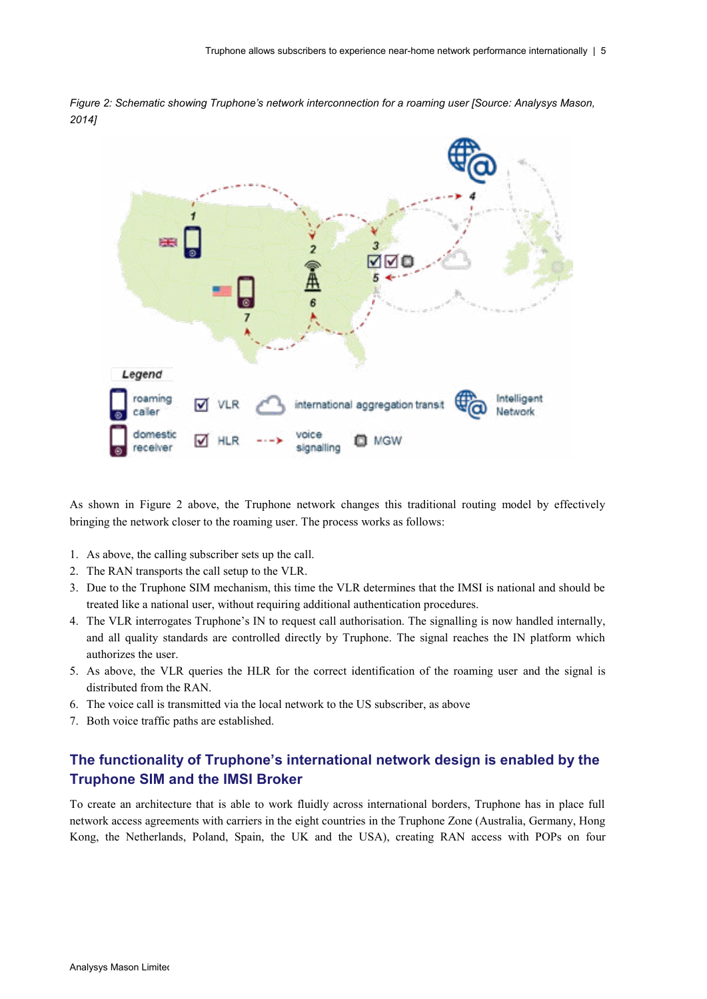

*Figure 2: Schematic showing Truphone's network interconnection for a roaming user [Source: Analysys Mason, 2014]* 

As shown in Figure 2 above, the Truphone network changes this traditional routing model by effectively bringing the network closer to the roaming user. The process works as follows:

- 1. As above, the calling subscriber sets up the call.
- 2. The RAN transports the call setup to the VLR.
- 3. Due to the Truphone SIM mechanism, this time the VLR determines that the IMSI is national and should be treated like a national user, without requiring additional authentication procedures.
- 4. The VLR interrogates Truphone's IN to request call authorisation. The signalling is now handled internally, and all quality standards are controlled directly by Truphone. The signal reaches the IN platform which authorizes the user.
- 5. As above, the VLR queries the HLR for the correct identification of the roaming user and the signal is distributed from the RAN.
- 6. The voice call is transmitted via the local network to the US subscriber, as above
- 7. Both voice traffic paths are established.

### **The functionality of Truphone's international network design is enabled by the Truphone SIM and the IMSI Broker**

To create an architecture that is able to work fluidly across international borders, Truphone has in place full network access agreements with carriers in the eight countries in the Truphone Zone (Australia, Germany, Hong Kong, the Netherlands, Poland, Spain, the UK and the USA), creating RAN access with POPs on four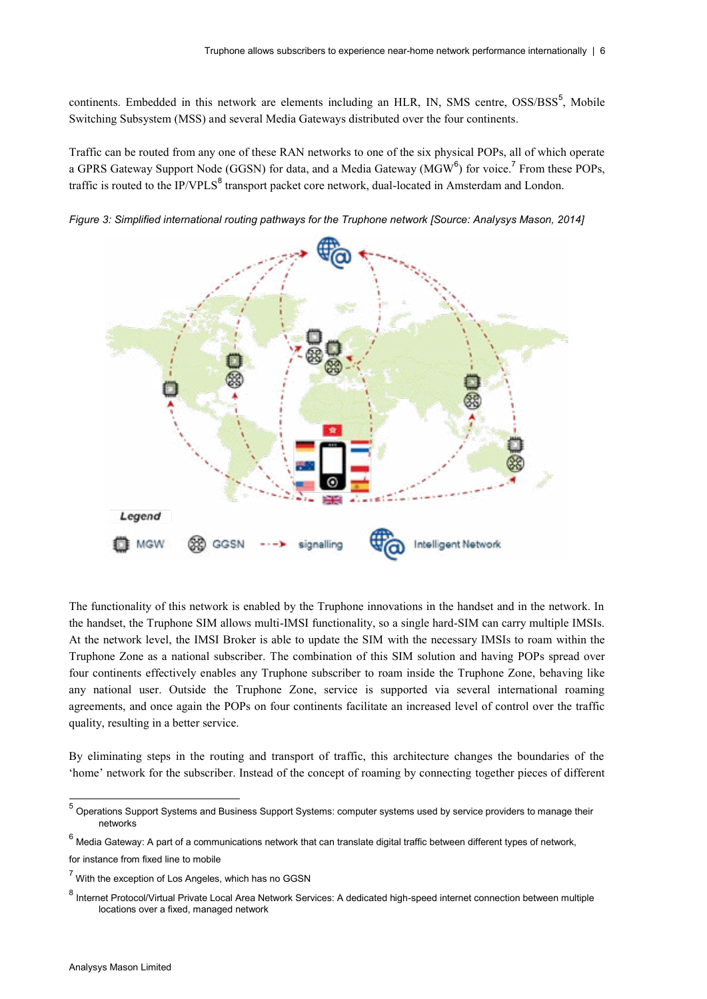continents. Embedded in this network are elements including an HLR, IN, SMS centre, OSS/BSS<sup>5</sup>, Mobile Switching Subsystem (MSS) and several Media Gateways distributed over the four continents.

Traffic can be routed from any one of these RAN networks to one of the six physical POPs, all of which operate a GPRS Gateway Support Node (GGSN) for data, and a Media Gateway (MGW $^6$ ) for voice.<sup>7</sup> From these POPs, traffic is routed to the IP/VPLS<sup>8</sup> transport packet core network, dual-located in Amsterdam and London.



*Figure 3: Simplified international routing pathways for the Truphone network [Source: Analysys Mason, 2014]* 

The functionality of this network is enabled by the Truphone innovations in the handset and in the network. In the handset, the Truphone SIM allows multi-IMSI functionality, so a single hard-SIM can carry multiple IMSIs. At the network level, the IMSI Broker is able to update the SIM with the necessary IMSIs to roam within the Truphone Zone as a national subscriber. The combination of this SIM solution and having POPs spread over four continents effectively enables any Truphone subscriber to roam inside the Truphone Zone, behaving like any national user. Outside the Truphone Zone, service is supported via several international roaming agreements, and once again the POPs on four continents facilitate an increased level of control over the traffic quality, resulting in a better service.

By eliminating steps in the routing and transport of traffic, this architecture changes the boundaries of the 'home' network for the subscriber. Instead of the concept of roaming by connecting together pieces of different

for instance from fixed line to mobile

<sup>5</sup> Operations Support Systems and Business Support Systems: computer systems used by service providers to manage their networks

 $6$  Media Gateway: A part of a communications network that can translate digital traffic between different types of network,

 $7$  With the exception of Los Angeles, which has no GGSN

<sup>8</sup> Internet Protocol/Virtual Private Local Area Network Services: A dedicated high-speed internet connection between multiple locations over a fixed, managed network